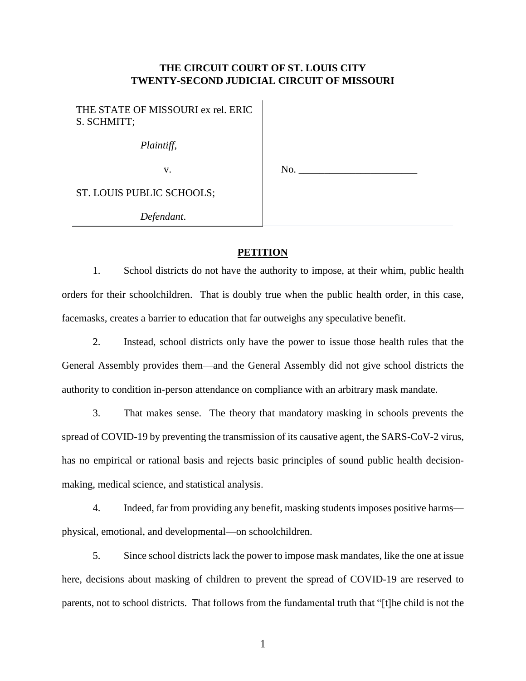## **THE CIRCUIT COURT OF ST. LOUIS CITY TWENTY-SECOND JUDICIAL CIRCUIT OF MISSOURI**

THE STATE OF MISSOURI ex rel. ERIC S. SCHMITT;

*Plaintiff*,

v.

No.

ST. LOUIS PUBLIC SCHOOLS;

*Defendant*.

## **PETITION**

1. School districts do not have the authority to impose, at their whim, public health orders for their schoolchildren. That is doubly true when the public health order, in this case, facemasks, creates a barrier to education that far outweighs any speculative benefit.

2. Instead, school districts only have the power to issue those health rules that the General Assembly provides them—and the General Assembly did not give school districts the authority to condition in-person attendance on compliance with an arbitrary mask mandate.

3. That makes sense. The theory that mandatory masking in schools prevents the spread of COVID-19 by preventing the transmission of its causative agent, the SARS-CoV-2 virus, has no empirical or rational basis and rejects basic principles of sound public health decisionmaking, medical science, and statistical analysis.

4. Indeed, far from providing any benefit, masking students imposes positive harms physical, emotional, and developmental—on schoolchildren.

5. Since school districts lack the power to impose mask mandates, like the one at issue here, decisions about masking of children to prevent the spread of COVID-19 are reserved to parents, not to school districts. That follows from the fundamental truth that "[t]he child is not the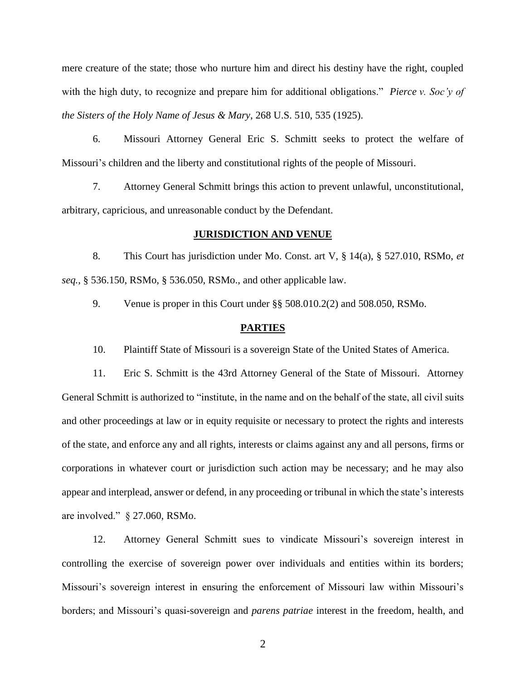mere creature of the state; those who nurture him and direct his destiny have the right, coupled with the high duty, to recognize and prepare him for additional obligations." *Pierce v. Soc'y of the Sisters of the Holy Name of Jesus & Mary*, 268 U.S. 510, 535 (1925).

6. Missouri Attorney General Eric S. Schmitt seeks to protect the welfare of Missouri's children and the liberty and constitutional rights of the people of Missouri.

7. Attorney General Schmitt brings this action to prevent unlawful, unconstitutional, arbitrary, capricious, and unreasonable conduct by the Defendant.

#### **JURISDICTION AND VENUE**

8. This Court has jurisdiction under Mo. Const. art V, § 14(a), § 527.010, RSMo, *et seq.*, § 536.150, RSMo, § 536.050, RSMo., and other applicable law.

9. Venue is proper in this Court under §§ 508.010.2(2) and 508.050, RSMo.

#### **PARTIES**

10. Plaintiff State of Missouri is a sovereign State of the United States of America.

11. Eric S. Schmitt is the 43rd Attorney General of the State of Missouri. Attorney General Schmitt is authorized to "institute, in the name and on the behalf of the state, all civil suits and other proceedings at law or in equity requisite or necessary to protect the rights and interests of the state, and enforce any and all rights, interests or claims against any and all persons, firms or corporations in whatever court or jurisdiction such action may be necessary; and he may also appear and interplead, answer or defend, in any proceeding or tribunal in which the state's interests are involved." § 27.060, RSMo.

12. Attorney General Schmitt sues to vindicate Missouri's sovereign interest in controlling the exercise of sovereign power over individuals and entities within its borders; Missouri's sovereign interest in ensuring the enforcement of Missouri law within Missouri's borders; and Missouri's quasi-sovereign and *parens patriae* interest in the freedom, health, and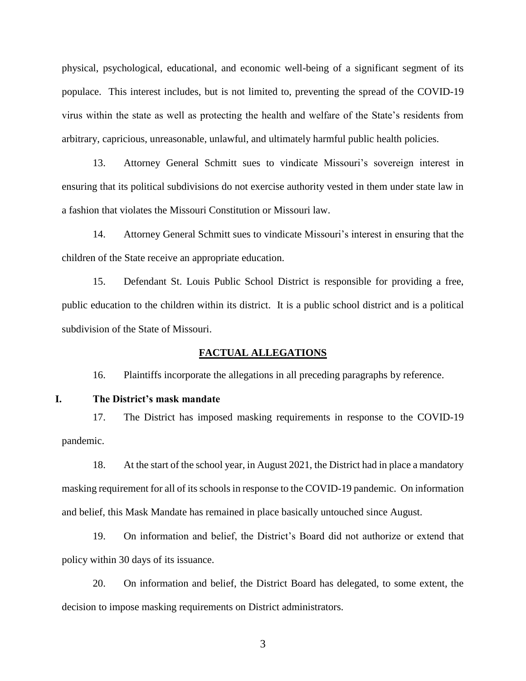physical, psychological, educational, and economic well-being of a significant segment of its populace. This interest includes, but is not limited to, preventing the spread of the COVID-19 virus within the state as well as protecting the health and welfare of the State's residents from arbitrary, capricious, unreasonable, unlawful, and ultimately harmful public health policies.

13. Attorney General Schmitt sues to vindicate Missouri's sovereign interest in ensuring that its political subdivisions do not exercise authority vested in them under state law in a fashion that violates the Missouri Constitution or Missouri law.

14. Attorney General Schmitt sues to vindicate Missouri's interest in ensuring that the children of the State receive an appropriate education.

15. Defendant St. Louis Public School District is responsible for providing a free, public education to the children within its district. It is a public school district and is a political subdivision of the State of Missouri.

#### **FACTUAL ALLEGATIONS**

16. Plaintiffs incorporate the allegations in all preceding paragraphs by reference.

**I. The District's mask mandate**

17. The District has imposed masking requirements in response to the COVID-19 pandemic.

18. At the start of the school year, in August 2021, the District had in place a mandatory masking requirement for all of its schools in response to the COVID-19 pandemic. On information and belief, this Mask Mandate has remained in place basically untouched since August.

19. On information and belief, the District's Board did not authorize or extend that policy within 30 days of its issuance.

20. On information and belief, the District Board has delegated, to some extent, the decision to impose masking requirements on District administrators.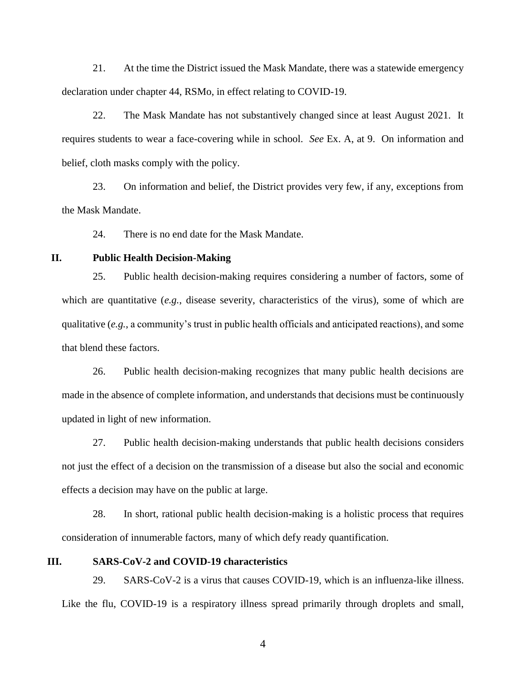21. At the time the District issued the Mask Mandate, there was a statewide emergency declaration under chapter 44, RSMo, in effect relating to COVID-19.

22. The Mask Mandate has not substantively changed since at least August 2021. It requires students to wear a face-covering while in school. *See* Ex. A, at 9. On information and belief, cloth masks comply with the policy.

23. On information and belief, the District provides very few, if any, exceptions from the Mask Mandate.

24. There is no end date for the Mask Mandate.

# **II. Public Health Decision-Making**

25. Public health decision-making requires considering a number of factors, some of which are quantitative (*e.g.*, disease severity, characteristics of the virus), some of which are qualitative (*e.g.*, a community's trust in public health officials and anticipated reactions), and some that blend these factors.

26. Public health decision-making recognizes that many public health decisions are made in the absence of complete information, and understands that decisions must be continuously updated in light of new information.

27. Public health decision-making understands that public health decisions considers not just the effect of a decision on the transmission of a disease but also the social and economic effects a decision may have on the public at large.

28. In short, rational public health decision-making is a holistic process that requires consideration of innumerable factors, many of which defy ready quantification.

#### **III. SARS-CoV-2 and COVID-19 characteristics**

29. SARS-CoV-2 is a virus that causes COVID-19, which is an influenza-like illness. Like the flu, COVID-19 is a respiratory illness spread primarily through droplets and small,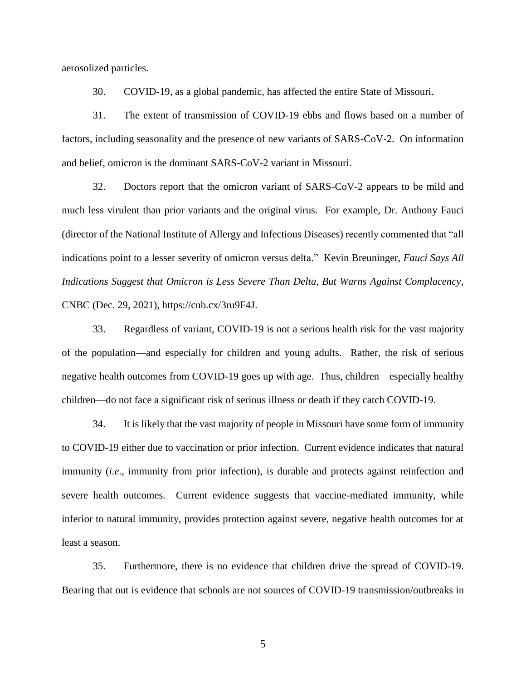aerosolized particles.

30. COVID-19, as a global pandemic, has affected the entire State of Missouri.

31. The extent of transmission of COVID-19 ebbs and flows based on a number of factors, including seasonality and the presence of new variants of SARS-CoV-2. On information and belief, omicron is the dominant SARS-CoV-2 variant in Missouri.

32. Doctors report that the omicron variant of SARS-CoV-2 appears to be mild and much less virulent than prior variants and the original virus. For example, Dr. Anthony Fauci (director of the National Institute of Allergy and Infectious Diseases) recently commented that "all indications point to a lesser severity of omicron versus delta." Kevin Breuninger, *Fauci Says All Indications Suggest that Omicron is Less Severe Than Delta, But Warns Against Complacency*, CNBC (Dec. 29, 2021), https://cnb.cx/3ru9F4J.

33. Regardless of variant, COVID-19 is not a serious health risk for the vast majority of the population—and especially for children and young adults. Rather, the risk of serious negative health outcomes from COVID-19 goes up with age. Thus, children—especially healthy children—do not face a significant risk of serious illness or death if they catch COVID-19.

34. It is likely that the vast majority of people in Missouri have some form of immunity to COVID-19 either due to vaccination or prior infection. Current evidence indicates that natural immunity (*i.e.*, immunity from prior infection), is durable and protects against reinfection and severe health outcomes. Current evidence suggests that vaccine-mediated immunity, while inferior to natural immunity, provides protection against severe, negative health outcomes for at least a season.

35. Furthermore, there is no evidence that children drive the spread of COVID-19. Bearing that out is evidence that schools are not sources of COVID-19 transmission/outbreaks in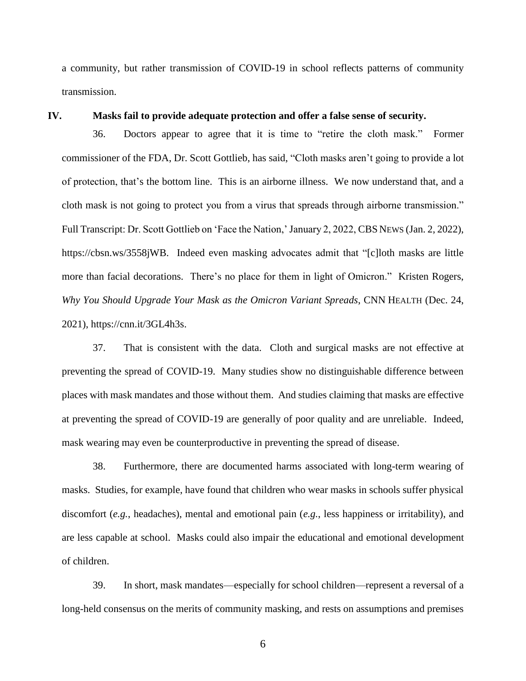a community, but rather transmission of COVID-19 in school reflects patterns of community transmission.

#### **IV. Masks fail to provide adequate protection and offer a false sense of security.**

36. Doctors appear to agree that it is time to "retire the cloth mask." Former commissioner of the FDA, Dr. Scott Gottlieb, has said, "Cloth masks aren't going to provide a lot of protection, that's the bottom line. This is an airborne illness. We now understand that, and a cloth mask is not going to protect you from a virus that spreads through airborne transmission." Full Transcript: Dr. Scott Gottlieb on 'Face the Nation,' January 2, 2022, CBS NEWS (Jan. 2, 2022), https://cbsn.ws/3558jWB. Indeed even masking advocates admit that "[c]loth masks are little more than facial decorations. There's no place for them in light of Omicron." Kristen Rogers, *Why You Should Upgrade Your Mask as the Omicron Variant Spreads*, CNN HEALTH (Dec. 24, 2021), https://cnn.it/3GL4h3s.

37. That is consistent with the data. Cloth and surgical masks are not effective at preventing the spread of COVID-19. Many studies show no distinguishable difference between places with mask mandates and those without them. And studies claiming that masks are effective at preventing the spread of COVID-19 are generally of poor quality and are unreliable. Indeed, mask wearing may even be counterproductive in preventing the spread of disease.

38. Furthermore, there are documented harms associated with long-term wearing of masks. Studies, for example, have found that children who wear masks in schools suffer physical discomfort (*e.g.*, headaches), mental and emotional pain (*e.g.*, less happiness or irritability), and are less capable at school. Masks could also impair the educational and emotional development of children.

39. In short, mask mandates—especially for school children—represent a reversal of a long-held consensus on the merits of community masking, and rests on assumptions and premises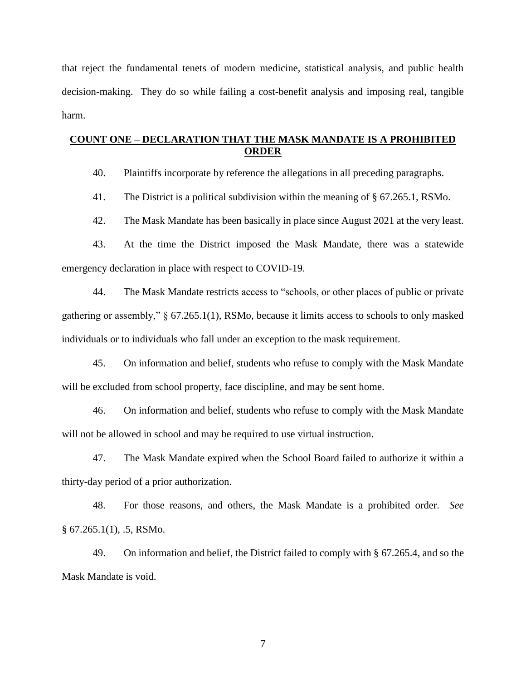that reject the fundamental tenets of modern medicine, statistical analysis, and public health decision-making. They do so while failing a cost-benefit analysis and imposing real, tangible harm.

## **COUNT ONE – DECLARATION THAT THE MASK MANDATE IS A PROHIBITED ORDER**

40. Plaintiffs incorporate by reference the allegations in all preceding paragraphs.

41. The District is a political subdivision within the meaning of § 67.265.1, RSMo.

42. The Mask Mandate has been basically in place since August 2021 at the very least.

43. At the time the District imposed the Mask Mandate, there was a statewide emergency declaration in place with respect to COVID-19.

44. The Mask Mandate restricts access to "schools, or other places of public or private gathering or assembly," § 67.265.1(1), RSMo, because it limits access to schools to only masked individuals or to individuals who fall under an exception to the mask requirement.

45. On information and belief, students who refuse to comply with the Mask Mandate will be excluded from school property, face discipline, and may be sent home.

46. On information and belief, students who refuse to comply with the Mask Mandate will not be allowed in school and may be required to use virtual instruction.

47. The Mask Mandate expired when the School Board failed to authorize it within a thirty-day period of a prior authorization.

48. For those reasons, and others, the Mask Mandate is a prohibited order. *See*   $§ 67.265.1(1), .5, RSMo.$ 

49. On information and belief, the District failed to comply with § 67.265.4, and so the Mask Mandate is void.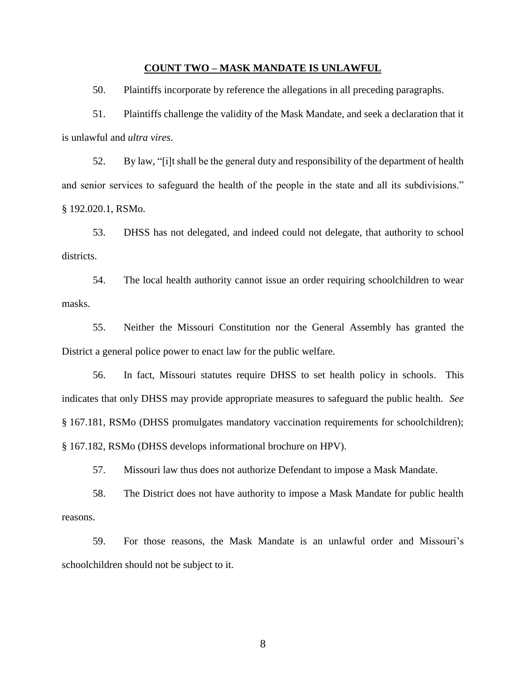#### **COUNT TWO – MASK MANDATE IS UNLAWFUL**

50. Plaintiffs incorporate by reference the allegations in all preceding paragraphs.

51. Plaintiffs challenge the validity of the Mask Mandate, and seek a declaration that it is unlawful and *ultra vires*.

52. By law, "[i]t shall be the general duty and responsibility of the department of health and senior services to safeguard the health of the people in the state and all its subdivisions." § 192.020.1, RSMo.

53. DHSS has not delegated, and indeed could not delegate, that authority to school districts.

54. The local health authority cannot issue an order requiring schoolchildren to wear masks.

55. Neither the Missouri Constitution nor the General Assembly has granted the District a general police power to enact law for the public welfare.

56. In fact, Missouri statutes require DHSS to set health policy in schools. This indicates that only DHSS may provide appropriate measures to safeguard the public health. *See*  § 167.181, RSMo (DHSS promulgates mandatory vaccination requirements for schoolchildren); § 167.182, RSMo (DHSS develops informational brochure on HPV).

57. Missouri law thus does not authorize Defendant to impose a Mask Mandate.

58. The District does not have authority to impose a Mask Mandate for public health reasons.

59. For those reasons, the Mask Mandate is an unlawful order and Missouri's schoolchildren should not be subject to it.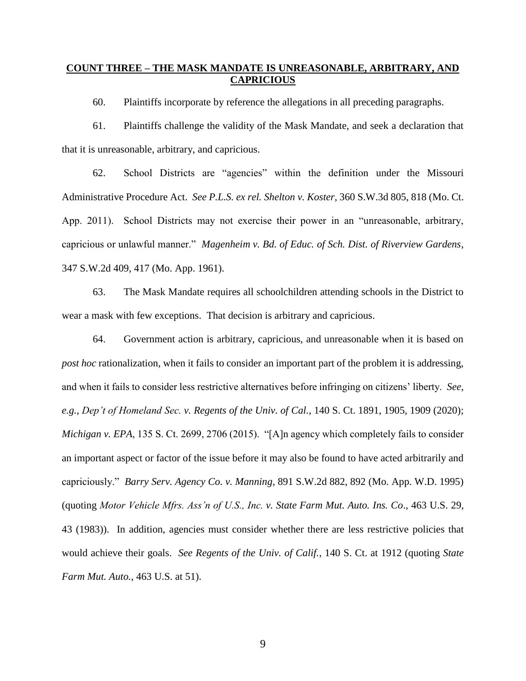### **COUNT THREE – THE MASK MANDATE IS UNREASONABLE, ARBITRARY, AND CAPRICIOUS**

60. Plaintiffs incorporate by reference the allegations in all preceding paragraphs.

61. Plaintiffs challenge the validity of the Mask Mandate, and seek a declaration that that it is unreasonable, arbitrary, and capricious.

62. School Districts are "agencies" within the definition under the Missouri Administrative Procedure Act. *See P.L.S. ex rel. Shelton v. Koster*, 360 S.W.3d 805, 818 (Mo. Ct. App. 2011). School Districts may not exercise their power in an "unreasonable, arbitrary, capricious or unlawful manner." *Magenheim v. Bd. of Educ. of Sch. Dist. of Riverview Gardens*, 347 S.W.2d 409, 417 (Mo. App. 1961).

63. The Mask Mandate requires all schoolchildren attending schools in the District to wear a mask with few exceptions. That decision is arbitrary and capricious.

64. Government action is arbitrary, capricious, and unreasonable when it is based on *post hoc* rationalization, when it fails to consider an important part of the problem it is addressing, and when it fails to consider less restrictive alternatives before infringing on citizens' liberty. *See*, *e.g.*, *Dep't of Homeland Sec. v. Regents of the Univ. of Cal.*, 140 S. Ct. 1891, 1905, 1909 (2020); *Michigan v. EPA*, 135 S. Ct. 2699, 2706 (2015). "[A]n agency which completely fails to consider an important aspect or factor of the issue before it may also be found to have acted arbitrarily and capriciously." *Barry Serv. Agency Co. v. Manning*, 891 S.W.2d 882, 892 (Mo. App. W.D. 1995) (quoting *Motor Vehicle Mfrs. Ass'n of U.S., Inc. v. State Farm Mut. Auto. Ins. Co*., 463 U.S. 29, 43 (1983)). In addition, agencies must consider whether there are less restrictive policies that would achieve their goals. *See Regents of the Univ. of Calif.*, 140 S. Ct. at 1912 (quoting *State Farm Mut. Auto.*, 463 U.S. at 51).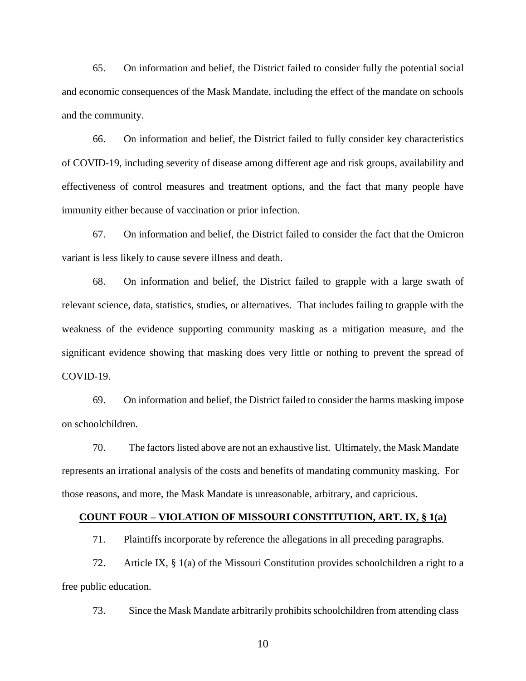65. On information and belief, the District failed to consider fully the potential social and economic consequences of the Mask Mandate, including the effect of the mandate on schools and the community.

66. On information and belief, the District failed to fully consider key characteristics of COVID-19, including severity of disease among different age and risk groups, availability and effectiveness of control measures and treatment options, and the fact that many people have immunity either because of vaccination or prior infection.

67. On information and belief, the District failed to consider the fact that the Omicron variant is less likely to cause severe illness and death.

68. On information and belief, the District failed to grapple with a large swath of relevant science, data, statistics, studies, or alternatives. That includes failing to grapple with the weakness of the evidence supporting community masking as a mitigation measure, and the significant evidence showing that masking does very little or nothing to prevent the spread of COVID-19.

69. On information and belief, the District failed to consider the harms masking impose on schoolchildren.

70. The factors listed above are not an exhaustive list. Ultimately, the Mask Mandate represents an irrational analysis of the costs and benefits of mandating community masking. For those reasons, and more, the Mask Mandate is unreasonable, arbitrary, and capricious.

#### **COUNT FOUR – VIOLATION OF MISSOURI CONSTITUTION, ART. IX, § 1(a)**

71. Plaintiffs incorporate by reference the allegations in all preceding paragraphs.

72. Article IX, § 1(a) of the Missouri Constitution provides schoolchildren a right to a free public education.

73. Since the Mask Mandate arbitrarily prohibits schoolchildren from attending class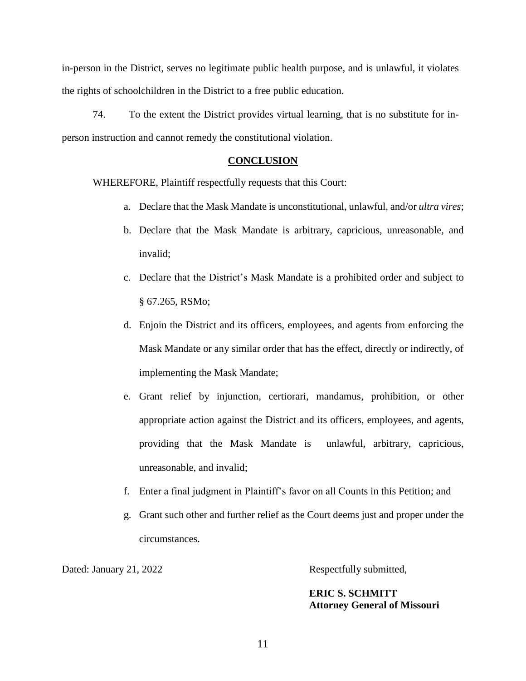in-person in the District, serves no legitimate public health purpose, and is unlawful, it violates the rights of schoolchildren in the District to a free public education.

74. To the extent the District provides virtual learning, that is no substitute for inperson instruction and cannot remedy the constitutional violation.

#### **CONCLUSION**

WHEREFORE, Plaintiff respectfully requests that this Court:

- a. Declare that the Mask Mandate is unconstitutional, unlawful, and/or *ultra vires*;
- b. Declare that the Mask Mandate is arbitrary, capricious, unreasonable, and invalid;
- c. Declare that the District's Mask Mandate is a prohibited order and subject to § 67.265, RSMo;
- d. Enjoin the District and its officers, employees, and agents from enforcing the Mask Mandate or any similar order that has the effect, directly or indirectly, of implementing the Mask Mandate;
- e. Grant relief by injunction, certiorari, mandamus, prohibition, or other appropriate action against the District and its officers, employees, and agents, providing that the Mask Mandate is unlawful, arbitrary, capricious, unreasonable, and invalid;
- f. Enter a final judgment in Plaintiff's favor on all Counts in this Petition; and
- g. Grant such other and further relief as the Court deems just and proper under the circumstances.

Dated: January 21, 2022 Respectfully submitted,

**ERIC S. SCHMITT Attorney General of Missouri**